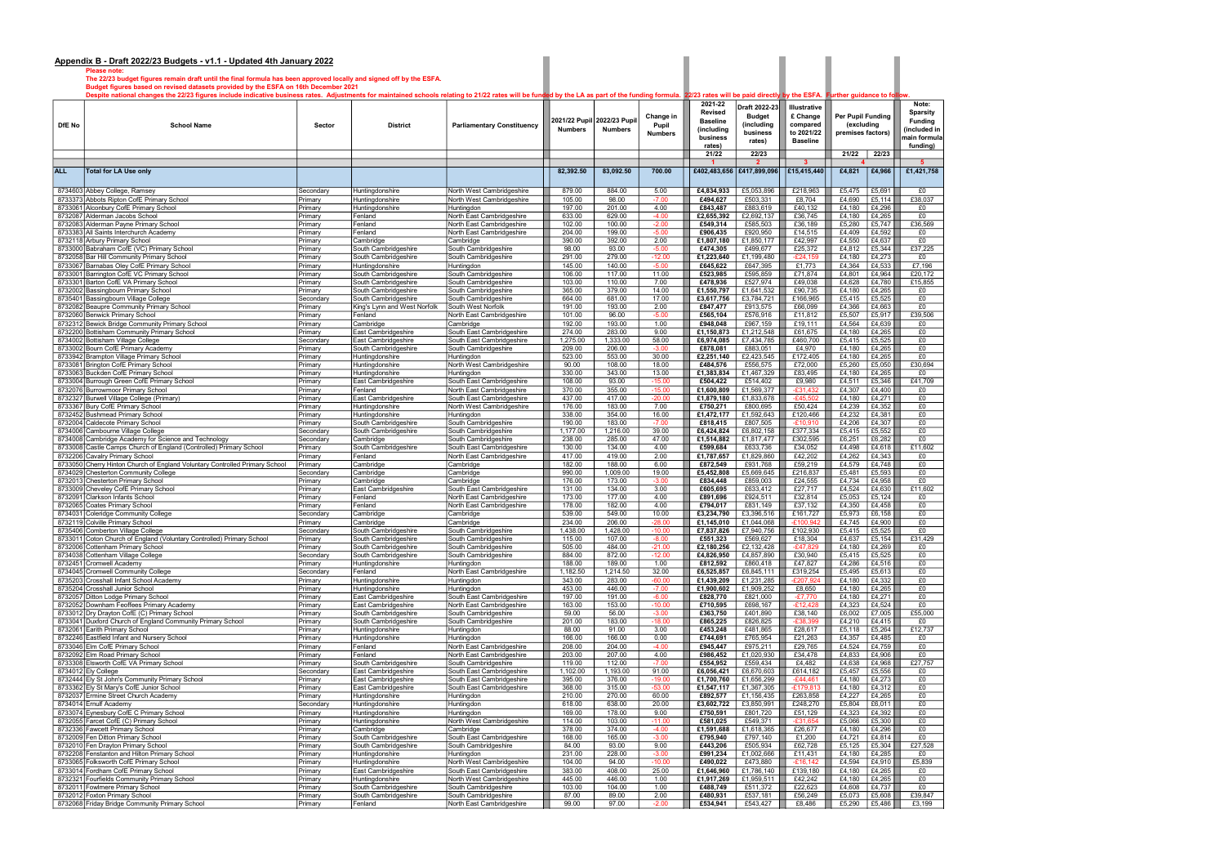Please note:

|            | The 22/23 budget figures remain draft until the final formula has been approved locally and signed off by the ESFA.<br>Budget figures based on revised datasets provided by the ESFA on 16th December 2021                                           |                        |                                              |                                                        |                    |                                               |                      |                                                            |                                              |                                      |                                 |                  |                                                           |
|------------|------------------------------------------------------------------------------------------------------------------------------------------------------------------------------------------------------------------------------------------------------|------------------------|----------------------------------------------|--------------------------------------------------------|--------------------|-----------------------------------------------|----------------------|------------------------------------------------------------|----------------------------------------------|--------------------------------------|---------------------------------|------------------|-----------------------------------------------------------|
| DfE No     | Despite national changes the 22/23 figures include indicative business rates. Adjustments for maintained schools relating to 21/22 rates will be funded by the LA as part of the funding formula. 22/23 rates will be paid dir<br><b>School Name</b> | Sector                 | <b>District</b>                              | <b>Parliamentary Constituency</b>                      | <b>Numbers</b>     | 2021/22 Pupil 2022/23 Pupil<br><b>Numbers</b> | Change in<br>Pupil   | 2021-22<br><b>Revised</b><br><b>Baseline</b><br>(including | Draft 2022-23<br><b>Budget</b><br>(including | Illustrative<br>£ Change<br>compared | Per Pupil Funding<br>(excluding |                  | Note:<br><b>Sparsity</b><br><b>Funding</b><br>included in |
|            |                                                                                                                                                                                                                                                      |                        |                                              |                                                        |                    |                                               | <b>Numbers</b>       | business<br>rates)                                         | business<br>rates)                           | to 2021/22<br><b>Baseline</b>        | premises factors)               |                  | nain formula<br>funding)                                  |
|            |                                                                                                                                                                                                                                                      |                        |                                              |                                                        |                    |                                               |                      | 21/22                                                      | 22/23                                        |                                      | 21/22                           | 22/23            |                                                           |
| <b>ALL</b> | <b>Total for LA Use only</b>                                                                                                                                                                                                                         |                        |                                              |                                                        | 82,392.50          | 83,092.50                                     | 700.00               | £402,483,656                                               | $\overline{\mathbf{2}}$<br>£417,899,096      | -3<br>£15,415,440                    | £4,821                          | £4,966           | £1,421,758                                                |
|            | 8734603 Abbey College, Ramsey                                                                                                                                                                                                                        | Secondary              | Huntinadonshire                              | North West Cambridgeshire                              | 879.00             | 884.00                                        | 5.00                 | £4,834,933                                                 | £5,053,896                                   | £218,963                             | £5,475                          | £5,691           | £0                                                        |
|            | 8733373 Abbots Ripton CofE Primary School                                                                                                                                                                                                            | Primary                | Huntinadonshire                              | North West Cambridgeshire                              | 105.00             | 98.00                                         | $-7.00$              | £494,627                                                   | £503,331                                     | £8,704                               | £4,690                          | £5,114           | £38,037                                                   |
|            | 8733061 Alconbury CofE Primary School<br>8732087 Alderman Jacobs School                                                                                                                                                                              | Primary<br>Primary     | Huntingdonshire<br>Fenland                   | Huntingdon<br>North East Cambridgeshire                | 197.00<br>633.00   | 201.00<br>629.00                              | 4.00<br>$-4.00$      | £843,487<br>£2,655,392                                     | £883,619<br>£2,692,137                       | £40,132<br>£36,745                   | £4,180<br>£4,180                | £4,296<br>£4,265 | £0<br>£0                                                  |
|            | 8732083 Alderman Payne Primary School                                                                                                                                                                                                                | Primary                | Fenland                                      | North East Cambridgeshire                              | 102.00             | 100.00                                        | $-2.00$              | £549,314                                                   | £585,503                                     | £36,189                              | £5,280                          | £5,747           | £36,569                                                   |
|            | 8733383 All Saints Interchurch Academy                                                                                                                                                                                                               | Primary                | Fenland                                      | North East Cambridgeshire                              | 204.00             | 199.00                                        | $-5.00$              | £906,435                                                   | £920,950                                     | £14,515                              | £4,409                          | £4,592           | £0                                                        |
|            | 8732118 Arbury Primary School                                                                                                                                                                                                                        | Primary                | Cambridge                                    | Cambridge                                              | 390.00<br>98.00    | 392.00<br>93.00                               | 2.00                 | £1,807,180                                                 | £1,850,177                                   | £42,997                              | £4,550                          | £4,637<br>£5,344 | £0<br>£37,225                                             |
|            | 8733000 Babraham CofE (VC) Primary School<br>8732058 Bar Hill Community Primary School                                                                                                                                                               | Primary<br>Primary     | South Cambridgeshire<br>South Cambridgeshire | South Cambridgeshire<br>South Cambridgeshire           | 291.00             | 279.00                                        | $-5.00$<br>$-12.00$  | £474,305<br>£1,223,640                                     | £499,677<br>£1,199,480                       | £25,372<br>$-E24,159$                | £4,812<br>£4,180                | £4,273           | £0                                                        |
|            | 8733067 Barnabas Oley CofE Primary School                                                                                                                                                                                                            | Primary                | Huntingdonshire                              | Huntingdon                                             | 145.00             | 140.00                                        | $-5.00$              | £645,622                                                   | £647,395                                     | £1,773                               | £4,364                          | £4,533           | £7,196                                                    |
|            | 8733001 Barrington CofE VC Primary School                                                                                                                                                                                                            | Primary                | South Cambridgeshire                         | South Cambridgeshire                                   | 106.00             | 117.00                                        | 11.00                | £523,985                                                   | £595,859                                     | £71,874                              | £4,801                          | £4,964           | £20,172                                                   |
|            | 8733301 Barton CofE VA Primary School<br>8732002 Bassingbourn Primary School                                                                                                                                                                         | Primary<br>Primary     | South Cambridgeshire<br>South Cambridgeshire | South Cambridgeshire<br>South Cambridgeshire           | 103.00<br>365.00   | 110.00<br>379.00                              | 7.00<br>14.00        | £478,936<br>£1,550,797                                     | £527,974<br>£1,641,532                       | £49,038<br>£90,735                   | £4,628<br>£4,180                | £4,780<br>£4,265 | £15,855<br>£0                                             |
|            | 8735401 Bassingbourn Village College                                                                                                                                                                                                                 | Secondary              | South Cambridgeshire                         | South Cambridgeshire                                   | 664.00             | 681.00                                        | 17.00                | £3,617,756                                                 | £3,784,721                                   | £166,965                             | £5,415                          | £5,525           | £0                                                        |
|            | 8732082 Beaupre Community Primary School                                                                                                                                                                                                             | Primary                | King's Lynn and West Norfolk                 | South West Norfolk                                     | 191.00             | 193.00                                        | 2.00                 | £847,477                                                   | £913,575                                     | £66,099                              | £4,366                          | £4,663           | £0                                                        |
|            | 8732060 Benwick Primary School<br>8732312 Bewick Bridge Community Primary School                                                                                                                                                                     | Primary<br>Primary     | Fenland<br>Cambridge                         | North East Cambridgeshire<br>Cambridge                 | 101.00<br>192.00   | 96.00<br>193.00                               | $-5.00$<br>1.00      | £565,104<br>£948,048                                       | £576,916<br>£967,159                         | £11,812<br>£19,111                   | £5,507<br>£4,564                | £5,917<br>£4,639 | £39,506<br>£0                                             |
|            | 8732200 Bottisham Community Primary School                                                                                                                                                                                                           | Primary                | East Cambridgeshire                          | South East Cambridgeshire                              | 274.00             | 283.00                                        | 9.00                 | £1,150,873                                                 | £1,212,548                                   | £61,675                              | £4,180                          | £4,265           | £0                                                        |
|            | 8734002 Bottisham Village College                                                                                                                                                                                                                    | Secondary              | East Cambridgeshire                          | South East Cambridgeshire                              | 1,275.00           | 1,333.00                                      | 58.00                | £6,974,085                                                 | £7,434,785                                   | £460,700                             | £5,415                          | £5,525           | £0                                                        |
|            | 8733002 Bourn CofE Primary Academy                                                                                                                                                                                                                   | Primary                | South Cambridgeshire                         | South Cambridgeshire                                   | 209.00             | 206.00                                        | $-3.00$              | £878,081                                                   | £883,051                                     | £4,970                               | £4,180                          | £4,265           | £0                                                        |
|            | 8733942 Brampton Village Primary School<br>8733081 Brington CofE Primary School                                                                                                                                                                      | Primary<br>Primary     | Huntingdonshire<br>Huntingdonshire           | Huntingdon<br>North West Cambridgeshire                | 523.00<br>90.00    | 553.00<br>108.00                              | 30.00<br>18.00       | £2,251,140<br>£484,576                                     | £2,423,545<br>£556,575                       | £172,405<br>£72,000                  | £4,180<br>£5,260                | £4,265<br>£5,050 | £0<br>£30,694                                             |
|            | 8733063 Buckden CofE Primary School                                                                                                                                                                                                                  | Primary                | Huntingdonshire                              | Huntingdon                                             | 330.00             | 343.00                                        | 13.00                | £1,383,834                                                 | £1,467,329                                   | £83,495                              | £4,180                          | £4,265           | £0                                                        |
|            | 8733004 Burrough Green CofE Primary School                                                                                                                                                                                                           | Primary                | East Cambridgeshire                          | South East Cambridgeshire                              | 108.00             | 93.00                                         | $-15.00$             | £504,422                                                   | £514,402                                     | £9,980                               | £4,511                          | £5,346           | £41,709                                                   |
|            | 8732076 Burrowmoor Primary School<br>8732327 Burwell Village College (Primary)                                                                                                                                                                       | Primary<br>Primary     | Fenland<br>East Cambridgeshire               | North East Cambridgeshire<br>South East Cambridgeshire | 370.00<br>437.00   | 355.00<br>417.00                              | $-15.00$<br>$-20.00$ | £1,600,809<br>£1,879,180                                   | £1,569,377<br>£1,833,678                     | $-£31,432$<br>$-£45,502$             | £4,307<br>£4,180                | £4,400<br>£4,271 | £0<br>£0                                                  |
|            | 8733367 Bury CofE Primary School                                                                                                                                                                                                                     | Primary                | Huntingdonshire                              | North West Cambridgeshire                              | 176.00             | 183.00                                        | 7.00                 | £750,271                                                   | £800,695                                     | £50,424                              | £4,239                          | £4,352           | £0                                                        |
|            | 8732452 Bushmead Primary School                                                                                                                                                                                                                      | Primary                | Huntingdonshire                              | Huntingdon                                             | 338.00             | 354.00                                        | 16.00                | £1,472,177                                                 | £1,592,643                                   | £120,466                             | £4,232                          | £4,381           | £0                                                        |
|            | 8732004 Caldecote Primary School                                                                                                                                                                                                                     | Primary                | South Cambridgeshire                         | South Cambridgeshire                                   | 190.00<br>1,177.00 | 183.00<br>1,216.00                            | $-7.00$<br>39.00     | £818,415<br>£6,424,824                                     | £807,505                                     | $-£10,910$<br>£377,334               | £4,206<br>£5,415                | £4,307<br>£5,552 | £0<br>£0                                                  |
|            | 8734006 Cambourne Village College<br>8734008 Cambridge Academy for Science and Technology                                                                                                                                                            | Secondary<br>Secondary | South Cambridgeshire<br>Cambridge            | South Cambridgeshire<br>South Cambridgeshire           | 238.00             | 285.00                                        | 47.00                | £1,514,882                                                 | £6,802,158<br>£1,817,477                     | £302,595                             | £6,251                          | £6,282           | £0                                                        |
|            | 8733008 Castle Camps Church of England (Controlled) Primary School                                                                                                                                                                                   | Primary                | South Cambridgeshire                         | South East Cambridgeshire                              | 130.00             | 134.00                                        | 4.00                 | £599,684                                                   | £633,736                                     | £34,052                              | £4,498                          | £4,618           | £11,602                                                   |
|            | 8732206 Cavalry Primary School                                                                                                                                                                                                                       | Primary                | Fenland                                      | North East Cambridgeshire                              | 417.00             | 419.00                                        | 2.00                 | £1,787,657                                                 | £1,829,860                                   | £42,202                              | £4,262                          | £4,343           | £0                                                        |
|            | 8733050 Cherry Hinton Church of England Voluntary Controlled Primary School<br>8734029 Chesterton Community College                                                                                                                                  | Primary<br>Secondary   | Cambridge<br>Cambridge                       | Cambridge<br>Cambridge                                 | 182.00<br>990.00   | 188.00<br>1,009.00                            | 6.00<br>19.00        | £872,549<br>£5,452,808                                     | £931,768<br>£5,669,645                       | £59,219<br>£216,837                  | £4,579<br>£5,481                | £4,748<br>£5,593 | £0<br>£0                                                  |
|            | 8732013 Chesterton Primary School                                                                                                                                                                                                                    | Primary                | Cambridge                                    | Cambridge                                              | 176.00             | 173.00                                        | $-3.00$              | £834,448                                                   | £859,003                                     | £24,555                              | £4,734                          | £4,958           | £0                                                        |
|            | 8733009 Cheveley CofE Primary School                                                                                                                                                                                                                 | Primary                | East Cambridgeshire                          | South East Cambridgeshire                              | 131.00             | 134.00                                        | 3.00                 | £605,695                                                   | £633,412                                     | £27,717                              | £4,524                          | £4,630           | £11,602                                                   |
|            | 8732091 Clarkson Infants School<br>8732065 Coates Primary School                                                                                                                                                                                     | Primary<br>Primary     | Fenland<br>Fenland                           | North East Cambridgeshire<br>North East Cambridgeshire | 173.00<br>178.00   | 177.00<br>182.00                              | 4.00<br>4.00         | £891,696<br>£794,017                                       | £924,511<br>£831,149                         | £32,814<br>£37,132                   | £5,053<br>£4,350                | £5,124<br>£4,458 | £0<br>£0                                                  |
|            | 8734031 Coleridge Community College                                                                                                                                                                                                                  | Secondary              | Cambridge                                    | Cambridge                                              | 539.00             | 549.00                                        | 10.00                | £3,234,790                                                 | £3,396,516                                   | £161,727                             | £5,973                          | £6,158           | £0                                                        |
|            | 8732119 Colville Primary School                                                                                                                                                                                                                      | Primary                | Cambridge                                    | Cambridge                                              | 234.00             | 206.00                                        | $-28.00$             | £1,145,010                                                 | £1,044,068                                   | $-E100,942$                          | £4,745                          | £4,900           | £0                                                        |
|            | 8735406 Comberton Village College<br>8733011 Coton Church of England (Voluntary Controlled) Primary School                                                                                                                                           | Secondary              | South Cambridgeshire<br>South Cambridgeshire | South Cambridgeshire<br>South Cambridgeshire           | 1,438.00<br>115.00 | 1,428.00<br>107.00                            | $-10.00$<br>$-8.00$  | £7,837,826<br>£551,323                                     | £7,940,756<br>£569,627                       | £102,930<br>£18,304                  | £5,415<br>£4,637                | £5,525<br>£5,154 | £0<br>£31,429                                             |
|            | 8732006 Cottenham Primary School                                                                                                                                                                                                                     | -milar<br>Primary      | South Cambridgeshire                         | South Cambridgeshire                                   | 505.00             | 484.00                                        | $-21.00$             | £2,180,256                                                 | £2,132,428                                   | $-E47,829$                           | £4,180                          | £4,269           | £0                                                        |
|            | 8734038 Cottenham Village College                                                                                                                                                                                                                    | Secondary              | South Cambridgeshire                         | South Cambridgeshire                                   | 884.00             | 872.00                                        | $-12.00$             | £4,826,950                                                 | £4,857,890                                   | £30,940                              | £5,415                          | £5,525           | £0                                                        |
|            | 8732451 Cromwell Academy<br>8734045 Cromwell Community College                                                                                                                                                                                       | Primary<br>Secondary   | Huntingdonshire<br>Fenland                   | Huntingdon<br>North East Cambridgeshire                | 188.00<br>1,182.50 | 189.00<br>1,214.50                            | 1.00<br>32.00        | £812,592<br>£6,525,857                                     | £860,418<br>£6,845,111                       | £47,827<br>£319,254                  | £4,286<br>£5,495                | £4,516<br>£5,613 | £0<br>$E_0$                                               |
|            | 8735203 Crosshall Infant School Academy                                                                                                                                                                                                              | Primary                | Huntingdonshire                              | Huntingdon                                             | 343.00             | 283.00                                        | $-60.00$             | £1,439,209                                                 | £1,231,285                                   | $-E207,924$                          | £4,180                          | £4,332           | £0                                                        |
|            | 8735204 Crosshall Junior School                                                                                                                                                                                                                      | Primary                | Huntingdonshire                              | Huntingdon                                             | 453.00             | 446.00                                        | $-7.00$              | £1,900,602                                                 | £1,909,252                                   | £8,650                               | £4,180                          | £4,265           | £0                                                        |
|            | 8732057 Ditton Lodge Primary School<br>8732052 Downham Feoffees Primary Academy                                                                                                                                                                      | Primary<br>Primary     | East Cambridgeshire<br>East Cambridgeshire   | South East Cambridgeshire<br>North East Cambridgeshire | 197.00<br>163.00   | 191.00<br>153.00                              | $-6.00$<br>$-10.00$  | £828,770<br>£710,595                                       | £821,000<br>£698,167                         | $-£7,770$<br>$-£12,428$              | £4,180<br>£4,323                | £4,271<br>£4,524 | £0<br>£0                                                  |
|            | 8733012 Dry Drayton CofE (C) Primary School                                                                                                                                                                                                          | Primary                | South Cambridgeshire                         | South Cambridgeshire                                   | 59.00              | 56.00                                         | $-3.00$              | £363,750                                                   | £401,890                                     | £38,140                              | £6,002                          | £7,005           | £55,000                                                   |
|            | 8733041 Duxford Church of England Community Primary School                                                                                                                                                                                           | Primary                | South Cambridgeshire                         | South Cambridgeshire                                   | 201.00             | 183.00                                        | $-18.00$             | £865,225                                                   | £826,825                                     | $-£38,399$                           | £4,210                          | £4,415           | £0                                                        |
|            | 8732061 Earith Primary School                                                                                                                                                                                                                        | Primary                | Huntingdonshire                              | Huntingdon                                             | 88.00              | 91.00                                         | 3.00                 | £453,248                                                   | £481,865                                     | £28,617                              | £5,118                          | £5,264           | £12,737                                                   |
|            | 8732246 Eastfield Infant and Nursery School<br>8733046 Elm CofE Primary School                                                                                                                                                                       | Primary<br>Primary     | Huntingdonshire<br>Fenland                   | Huntingdon<br>North East Cambridgeshire                | 166.00<br>208.00   | 166.00<br>204.00                              | 0.00<br>$-4.00$      | £744,691<br>£945,447                                       | £765,954<br>£975,211                         | £21,263<br>£29,765                   | £4,357<br>£4,524                | £4,485<br>£4,759 | £0<br>£0                                                  |
|            | 8732092 Elm Road Primary School                                                                                                                                                                                                                      | Primary                | Fenland                                      | North East Cambridgeshire                              | 203.00             | 207.00                                        | 4.00                 | £986,452                                                   | £1,020,930                                   | £34,478                              | £4,833                          | £4,906           | £0                                                        |
|            | 8733308 Elsworth CofE VA Primary School                                                                                                                                                                                                              | Primary                | South Cambridgeshire                         | South Cambridgeshire                                   | 119.00             | 112.00                                        | $-7.00$              | £554,952                                                   | £559,434                                     | £4,482                               | £4,638                          | £4,968           | £27,757                                                   |
|            | 8734012 Ely College<br>8732444 Ely St John's Community Primary School                                                                                                                                                                                | Secondary<br>Primary   | East Cambridgeshire<br>East Cambridgeshire   | South East Cambridgeshire<br>South East Cambridgeshire | 1,102.00<br>395.00 | 1,193.00<br>376.00                            | 91.00<br>$-19.00$    | £6,056,421<br>£1,700,760                                   | £6,670,603<br>£1,656,299                     | £614,182<br>$-E44,461$               | £5,457<br>£4,180                | £5,556<br>£4,273 | £0<br>£0                                                  |
|            | 8733362 Ely St Mary's CofE Junior School                                                                                                                                                                                                             | Primary                | East Cambridgeshire                          | South East Cambridgeshire                              | 368.00             | 315.00                                        | $-53.00$             | £1,547,117                                                 | £1,367,305                                   | $-£179,813$                          | £4,180                          | £4,312           | £0                                                        |
|            | 8732037 Ermine Street Church Academy                                                                                                                                                                                                                 | Primary                | Huntingdonshire                              | Huntingdon                                             | 210.00             | 270.00                                        | 60.00                | £892,577                                                   | £1,156,435                                   | £263,858                             | £4,227                          | £4,265           | £0                                                        |
|            | 8734014 Ernulf Academy                                                                                                                                                                                                                               | Secondary              | Huntingdonshire                              | Huntingdon                                             | 618.00             | 638.00                                        | 20.00                | £3,602,722                                                 | £3,850,991                                   | £248,270                             | £5,804                          | £6,011           | £0                                                        |
|            | 8733074 Eynesbury CofE C Primary School<br>8732055 Farcet CofE (C) Primary School                                                                                                                                                                    | Primary<br>Primary     | Huntingdonshire<br>Huntingdonshire           | Huntingdon<br>North West Cambridgeshire                | 169.00<br>114.00   | 178.00<br>103.00                              | 9.00<br>$-11.00$     | £750,591<br>£581,025                                       | £801,720<br>£549,371                         | £51,129<br>$-£31,654$                | £4,323<br>£5,066                | £4,392<br>£5,300 | £0<br>£0                                                  |
|            | 8732336 Fawcett Primary School                                                                                                                                                                                                                       | Primary                | Cambridge                                    | Cambridge                                              | 378.00             | 374.00                                        | $-4.00$              | £1,591,688                                                 | £1,618,365                                   | £26,677                              | £4,180                          | £4,296           | £0                                                        |
|            | 8732009 Fen Ditton Primary School                                                                                                                                                                                                                    | Primary                | South Cambridgeshire                         | South East Cambridgeshire                              | 168.00             | 165.00                                        | $-3.00$              | £795,940                                                   | £797,140                                     | £1,200                               | £4,721                          | £4,814           | £0                                                        |
|            | 8732010 Fen Drayton Primary School<br>8732208 Fenstanton and Hilton Primary School                                                                                                                                                                   | Primary<br>Primary     | South Cambridgeshire<br>Huntingdonshire      | South Cambridgeshire<br>Huntingdon                     | 84.00<br>231.00    | 93.00<br>228.00                               | 9.00<br>$-3.00$      | £443,206<br>£991,234                                       | £505,934<br>£1,002,666                       | £62,728<br>£11,431                   | £5,125<br>£4,180                | £5,304<br>£4,285 | £27,528<br>£0                                             |
|            | 8733065 Folksworth CofE Primary School                                                                                                                                                                                                               | Primary                | Huntingdonshire                              | North West Cambridgeshire                              | 104.00             | 94.00                                         | $-10.00$             | £490,022                                                   | £473,880                                     | $-£16,142$                           | £4,594                          | £4,910           | £5,839                                                    |
|            | 8733014 Fordham CofE Primary School                                                                                                                                                                                                                  | Primary                | East Cambridgeshire                          | South East Cambridgeshire                              | 383.00             | 408.00                                        | 25.00                | £1,646,960                                                 | £1,786,140                                   | £139,180                             | £4,180                          | £4,265           | £0                                                        |
|            | 8732321 Fourfields Community Primary School<br>8732011 Fowlmere Primary School                                                                                                                                                                       | Primary<br>Primary     | Huntingdonshire<br>South Cambridgeshire      | North West Cambridgeshire<br>South Cambridgeshire      | 445.00<br>103.00   | 446.00<br>104.00                              | 1.00<br>1.00         | £1,917,269<br>£488,749                                     | £1,959,511<br>£511,372                       | £42,242<br>£22,623                   | £4,180<br>£4,608                | £4,265<br>£4,737 | £0<br>£0                                                  |
|            | 8732012 Foxton Primary School                                                                                                                                                                                                                        | Primary                | South Cambridgeshire                         | South Cambridgeshire                                   | 87.00              | 89.00                                         | 2.00                 | £480,931                                                   | £537,181                                     | £56,249                              | £5,073                          | £5,608           | £39,847                                                   |
|            | 8732068 Friday Bridge Community Primary School                                                                                                                                                                                                       | Primary                | Fenland                                      | North East Cambridgeshire                              | 99.00              | 97.00                                         | $-2.00$              | £534,941                                                   | £543,427                                     | £8,486                               | £5,290                          | £5,486           | £3,199                                                    |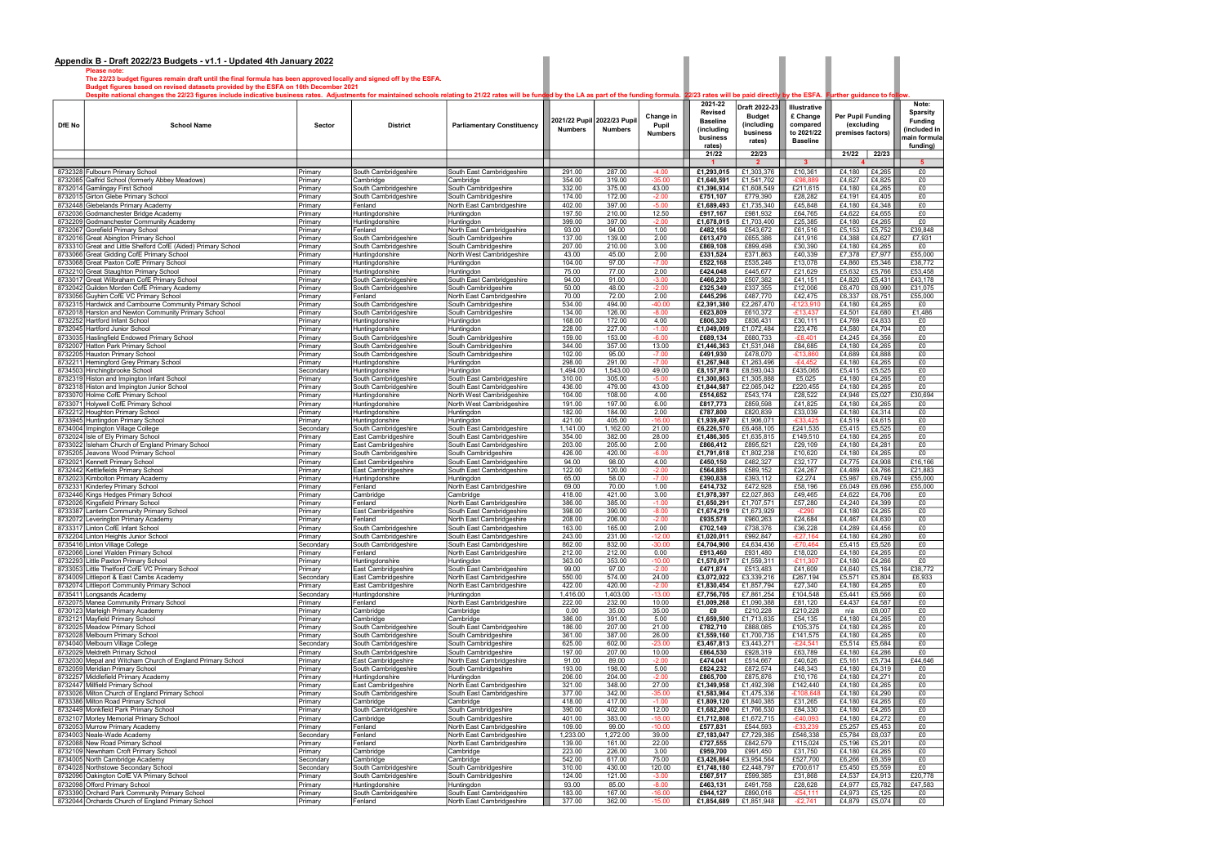Please note: The 22/23 budget figures remain draft until the final formula has been approved locally and signed off by the ESFA.

Budget figures based on revised datasets provided by the ESFA on 16th December 2021

Despite national changes the 22/23 figures include indicative business rates. Adjustments for maintained schools relating to 21/22 rates will be funded by the LA as part of the funding formula. 22/23 rates will be paid dir

| DfE No | <b>School Name</b>                                                                                     | Sector               | <b>District</b>                              | <b>Parliamentary Constituency</b>                      | 2021/22 Pupil<br><b>Numbers</b> | 2022/23 Pupi<br><b>Numbers</b> | Change in<br>Pupil<br><b>Numbers</b> | 2021-22<br>Revised<br><b>Baseline</b><br>(including<br>business | Draft 2022-23<br><b>Budget</b><br>(including<br>business<br>rates) | Illustrative<br>£ Change<br>compared<br>to 2021/22<br><b>Baseline</b> | Per Pupil Funding<br>(excluding<br>premises factors) |                  | Note:<br>Sparsity<br><b>Funding</b><br>included in<br>main formula |  |
|--------|--------------------------------------------------------------------------------------------------------|----------------------|----------------------------------------------|--------------------------------------------------------|---------------------------------|--------------------------------|--------------------------------------|-----------------------------------------------------------------|--------------------------------------------------------------------|-----------------------------------------------------------------------|------------------------------------------------------|------------------|--------------------------------------------------------------------|--|
|        |                                                                                                        |                      |                                              |                                                        |                                 |                                |                                      | rates)<br>21/22                                                 | 22/23                                                              |                                                                       | 21/22                                                | 22/23            | funding)                                                           |  |
|        |                                                                                                        |                      |                                              |                                                        |                                 |                                |                                      |                                                                 | $\overline{2}$                                                     | $\mathbf{3}$                                                          |                                                      |                  | $5^{\circ}$                                                        |  |
|        | 8732328 Fulbourn Primary School<br>8732085 Galfrid School (formerly Abbey Meadows)                     | Primary<br>Primary   | South Cambridgeshire<br>Cambridge            | South East Cambridgeshire<br>Cambridge                 | 291.00<br>354.00                | 287.00<br>319.00               | $-4.00$<br>$-35.00$                  | £1,293,015<br>£1,640,591                                        | £1,303,376<br>£1,541,702                                           | £10,361<br>$-£98,88$                                                  | £4,180<br>£4,627                                     | £4,265<br>£4,825 | £0<br>£0                                                           |  |
|        | 8732014 Gamlingay First School                                                                         | Primary              | South Cambridgeshire                         | South Cambridgeshire                                   | 332.00                          | 375.00                         | 43.00                                | £1,396,934                                                      | £1,608,549                                                         | £211,615                                                              | £4,180                                               | £4,265           | £0                                                                 |  |
|        | 8732015 Girton Glebe Primary School                                                                    | Primary              | South Cambridgeshire                         | South Cambridgeshire                                   | 174.00                          | 172.00                         | $-2.00$                              | £751,107                                                        | £779,390                                                           | £28,282                                                               | £4,191                                               | £4,405           | £0                                                                 |  |
|        | 8732448 Glebelands Primary Academy<br>8732036 Godmanchester Bridge Academy                             | Primary<br>Primary   | Fenland<br>Huntingdonshire                   | North East Cambridgeshire<br>Huntingdon                | 402.00<br>197.50                | 397.00<br>210.00               | $-5.00$<br>12.50                     | £1,689,493<br>£917,167                                          | £1,735,340<br>£981,932                                             | £45,848<br>£64,765                                                    | £4,180<br>£4,622                                     | £4,348<br>£4,655 | £0<br>£0                                                           |  |
|        | 8732209 Godmanchester Community Academy                                                                | Primary              | Huntingdonshire                              | Huntingdon                                             | 399.00                          | 397.00                         | $-2.00$                              | £1,678,015                                                      | £1,703,400                                                         | £25,385                                                               | £4,180                                               | £4,265           | £0                                                                 |  |
|        | 8732067 Gorefield Primary School                                                                       | Primary              | Fenland                                      | North East Cambridgeshire                              | 93.00                           | 94.00                          | 1.00                                 | £482,156                                                        | £543,672                                                           | £61,516                                                               | £5,153                                               | £5,752           | £39,848                                                            |  |
|        | 8732016 Great Abington Primary School<br>8733310 Great and Little Shelford CofE (Aided) Primary School | Primary<br>Primary   | South Cambridgeshire                         | South Cambridgeshire                                   | 137.00<br>207.00                | 139.00<br>210.00               | 2.00<br>3.00                         | £613,470<br>£869,108                                            | £655,386<br>£899,498                                               | £41,916<br>£30,390                                                    | £4,388<br>£4,180                                     | £4,627<br>£4,265 | £7,931<br>£0                                                       |  |
|        | 8733066 Great Gidding CofE Primary School                                                              | Primary              | South Cambridgeshire<br>Huntingdonshire      | South Cambridgeshire<br>North West Cambridgeshire      | 43.00                           | 45.00                          | 2.00                                 | £331,524                                                        | £371,863                                                           | £40,339                                                               | £7,378                                               | £7,977           | £55,000                                                            |  |
|        | 8733068 Great Paxton CofE Primary School                                                               | Primary              | Huntingdonshire                              | Huntingdon                                             | 104.00                          | 97.00                          | $-7.00$                              | £522,168                                                        | £535,246                                                           | £13,078                                                               | £4,860                                               | £5,346           | £38,772                                                            |  |
|        | 8732210 Great Staughton Primary School                                                                 | Primary              | Huntingdonshire                              | Huntingdon                                             | 75.00<br>94.00                  | 77.00                          | 2.00                                 | £424,048                                                        | £445,677                                                           | £21,629                                                               | £5,632                                               | £5,766           | £53,458                                                            |  |
|        | 8733017 Great Wilbraham CofE Primary School<br>8732042 Guilden Morden CofE Primary Academy             | Primary<br>Primary   | South Cambridgeshire<br>South Cambridgeshire | South East Cambridgeshire<br>South Cambridgeshire      | 50.00                           | 91.00<br>48.00                 | $-3.00$<br>$-2.00$                   | £466,230<br>£325,349                                            | £507,382<br>£337,355                                               | £41,151<br>£12,006                                                    | £4,820<br>£6,470                                     | £5,431<br>£6,990 | £43,178<br>£31,075                                                 |  |
|        | 8733056 Guyhirn CofE VC Primary School                                                                 | Primary              | Fenland                                      | North East Cambridgeshire                              | 70.00                           | 72.00                          | 2.00                                 | £445,296                                                        | £487,770                                                           | £42,475                                                               | £6,337                                               | £6,751           | £55,000                                                            |  |
|        | 8732315 Hardwick and Cambourne Community Primary School                                                | Primary              | South Cambridgeshire                         | South Cambridgeshire                                   | 534.00                          | 494.00                         | $-40.00$                             | £2,391,380                                                      | £2,267,470                                                         | $-£123,910$                                                           | £4,180                                               | £4,265           | £0                                                                 |  |
|        | 8732018 Harston and Newton Community Primary School<br>8732252 Hartford Infant School                  | Primary<br>Primary   | South Cambridgeshire<br>Huntingdonshire      | South Cambridgeshire<br>Huntingdon                     | 134.00<br>168.00                | 126.00<br>172.00               | $-8.00$<br>4.00                      | £623,809<br>£806,320                                            | £610,372<br>£836,431                                               | $-E13,437$<br>£30,111                                                 | £4,501<br>£4,769                                     | £4,680<br>£4,833 | £1,486<br>£0                                                       |  |
|        | 8732045 Hartford Junior School                                                                         | Primary              | Huntingdonshire                              | Huntingdon                                             | 228.00                          | 227.00                         | $-1.00$                              | £1,049,009                                                      | £1,072,484                                                         | £23,476                                                               | £4,580                                               | £4,704           | £0                                                                 |  |
|        | 8733035 Haslingfield Endowed Primary School                                                            | Primary              | South Cambridgeshire                         | South Cambridgeshire                                   | 159.00                          | 153.00                         | $-6.00$                              | £689,134                                                        | £680,733                                                           | $-E8,401$                                                             | £4,245                                               | £4,356           | £0                                                                 |  |
|        | 8732007 Hatton Park Primary School<br>8732205 Hauxton Primary School                                   | Primary<br>Primary   | South Cambridgeshire<br>South Cambridgeshire | South Cambridgeshire<br>South Cambridgeshire           | 344.00<br>102.00                | 357.00<br>95.00                | 13.00<br>$-7.00$                     | £1,446,363<br>£491,930                                          | £1,531,048<br>£478,070                                             | £84,685<br>$-£13,860$                                                 | £4,180<br>£4,689                                     | £4,265<br>£4,888 | £0<br>£0                                                           |  |
|        | 8732211 Hemingford Grey Primary School                                                                 | Primary              | Huntingdonshire                              | Huntingdon                                             | 298.00                          | 291.00                         | $-7.00$                              | £1.267.948                                                      | £1,263,496                                                         | $-E4,452$                                                             | £4,180                                               | £4,265           | £0                                                                 |  |
|        | 8734503 Hinchingbrooke School                                                                          | Secondary            | Huntingdonshire                              | Huntingdon                                             | 1,494.00                        | 1,543.00                       | 49.00                                | £8,157,978                                                      | £8,593,043                                                         | £435,065                                                              | £5,415                                               | £5,525           | £0                                                                 |  |
|        | 8732319 Histon and Impington Infant School<br>8732318 Histon and Impington Junior School               | Primary<br>Primary   | South Cambridgeshire                         | South East Cambridgeshire<br>South East Cambridgeshire | 310.00<br>436.00                | 305.00<br>479.00               | $-5.00$<br>43.00                     | £1,300,863<br>£1,844,587                                        | £1,305,888<br>£2,065,042                                           | £5,025<br>£220,455                                                    | £4,180<br>£4,180                                     | £4,265<br>£4,265 | £0<br>£0                                                           |  |
|        | 8733070 Holme CofE Primary School                                                                      | Primary              | South Cambridgeshire<br>Huntingdonshire      | North West Cambridgeshire                              | 104.00                          | 108.00                         | 4.00                                 | £514,652                                                        | £543,174                                                           | £28,522                                                               | £4,946                                               | £5,027           | £30,694                                                            |  |
|        | 8733071 Holywell CofE Primary School                                                                   | Primary              | Huntingdonshire                              | North West Cambridgeshire                              | 191.00                          | 197.00                         | 6.00                                 | £817,773                                                        | £859,598                                                           | £41,825                                                               | £4,180                                               | £4,265           | £0                                                                 |  |
|        | 8732212 Houghton Primary School<br>8733945 Huntingdon Primary School                                   | Primary<br>Primary   | Huntingdonshire<br>Huntingdonshire           | Huntingdon<br>Huntingdon                               | 182.00<br>421.00                | 184.00<br>405.00               | 2.00<br>$-16.00$                     | £787,800<br>£1,939,497                                          | £820,839<br>£1,906,071                                             | £33,039<br>$-£33,425$                                                 | £4,180<br>£4,519                                     | £4,314<br>£4,615 | £0<br>£0                                                           |  |
|        | 8734004 Impington Village College                                                                      | Secondary            | South Cambridgeshire                         | South East Cambridgeshire                              | 1,141.00                        | 1,162.00                       | 21.00                                | £6,226,570                                                      | £6,468,105                                                         | £241,535                                                              | £5,415                                               | £5,525           | £0                                                                 |  |
|        | 8732024 Isle of Ely Primary School                                                                     | Primary              | East Cambridgeshire                          | South East Cambridgeshire                              | 354.00                          | 382.00                         | 28.00                                | £1,486,305                                                      | £1,635,815                                                         | £149,510                                                              | £4,180                                               | £4,265           | £0                                                                 |  |
|        | 8733022 Isleham Church of England Primary School                                                       | Primary              | East Cambridgeshire                          | South East Cambridgeshire                              | 203.00                          | 205.00                         | 2.00                                 | £866,412                                                        | £895,521                                                           | £29,109                                                               | £4,180                                               | £4,281           | £0                                                                 |  |
|        | 8735205 Jeavons Wood Primary School<br>8732021 Kennett Primary School                                  | Primary<br>Primary   | South Cambridgeshire<br>East Cambridgeshire  | South Cambridgeshire<br>South East Cambridgeshire      | 426.00<br>94.00                 | 420.00<br>98.00                | $-6.00$<br>4.00                      | £1,791,618<br>£450,150                                          | £1,802,238<br>£482,327                                             | £10,620<br>£32,177                                                    | £4,180<br>£4,775                                     | £4,265<br>£4,908 | £0<br>£16,166                                                      |  |
|        | 8732442 Kettlefields Primary School                                                                    | Primary              | East Cambridgeshire                          | South East Cambridgeshire                              | 122.00                          | 120.00                         | $-2.00$                              | £564,885                                                        | £589,152                                                           | £24,267                                                               | £4,489                                               | £4,766           | £21,883                                                            |  |
|        | 8732023 Kimbolton Primary Academy                                                                      | Primary              | Huntingdonshire                              | Huntingdon                                             | 65.00                           | 58.00                          | $-7.00$                              | £390,838                                                        | £393,112                                                           | £2,274                                                                | £5,987                                               | £6,749           | £55,000                                                            |  |
|        | 8732331 Kinderley Primary School<br>8732446 Kings Hedges Primary School                                | Primary<br>Primary   | Fenland<br>Cambridge                         | North East Cambridgeshire<br>Cambridge                 | 69.00<br>418.00                 | 70.00<br>421.00                | 1.00<br>3.00                         | £414,732<br>£1,978,397                                          | £472,928<br>£2,027,863                                             | £58,196<br>£49,465                                                    | £6,049<br>£4,622                                     | £6,696<br>£4,706 | £55,000<br>£0                                                      |  |
|        | 8732026 Kingsfield Primary School                                                                      | Primary              | Fenland                                      | North East Cambridgeshire                              | 386.00                          | 385.00                         | $-1.00$                              | £1,650,291                                                      | £1,707,571                                                         | £57,280                                                               | £4,240                                               | £4,399           | £0                                                                 |  |
|        | 8733387 Lantern Community Primary School                                                               | Primary              | East Cambridgeshire                          | South East Cambridgeshire                              | 398.00                          | 390.00                         | $-8.00$                              | £1,674,219                                                      | £1,673,929                                                         | $-E290$                                                               | £4,180                                               | £4,265           | £0                                                                 |  |
|        | 8732072 Leverington Primary Academy<br>8733317 Linton CofE Infant School                               | Primary<br>Primary   | Fenland<br>South Cambridgeshire              | North East Cambridgeshire<br>South East Cambridgeshire | 208.00<br>163.00                | 206.00<br>165.00               | $-2.00$<br>2.00                      | £935,578<br>£702,149                                            | £960,263<br>£738,376                                               | £24,684<br>£36,228                                                    | £4,467<br>£4,289                                     | £4,630<br>£4,456 | £0<br>£0                                                           |  |
|        | 8732204 Linton Heights Junior School                                                                   | Primary              | South Cambridgeshire                         | South East Cambridgeshire                              | 243.00                          | 231.00                         | $-12.00$                             | £1,020,011                                                      | £992,847                                                           | $-£27,164$                                                            | £4,180                                               | £4,280           | £0                                                                 |  |
|        | 8735416 Linton Village College                                                                         | Secondary            | South Cambridgeshire                         | South East Cambridgeshire                              | 862.00                          | 832.00                         | $-30.00$                             | £4,704,900                                                      | £4,634,436                                                         | -£70,464                                                              | £5,415                                               | £5,526           | £0                                                                 |  |
|        | 8732066 Lionel Walden Primary School<br>8732293 Little Paxton Primary School                           | Primary<br>Primary   | Fenland<br>Huntingdonshire                   | North East Cambridgeshire<br>Huntingdon                | 212.00<br>363.00                | 212.00<br>353.00               | 0.00<br>$-10.00$                     | £913,460<br>£1,570,617                                          | £931,480<br>£1,559,311                                             | £18,020<br>£11,30°                                                    | £4,180<br>£4,180                                     | £4,265<br>£4,266 | £0<br>£0                                                           |  |
|        | 8733053 Little Thetford CofE VC Primary School                                                         | Primary              | East Cambridgeshire                          | South East Cambridgeshire                              | 99.00                           | 97.00                          | $-2.00$                              | £471,874                                                        | £513,483                                                           | £41,609                                                               | £4,640                                               | £5,164           | £38,772                                                            |  |
|        | 8734009 Littleport & East Cambs Academy                                                                | Secondary            | East Cambridgeshire                          | North East Cambridgeshire                              | 550.00                          | 574.00                         | 24.00                                | £3,072,022                                                      | £3,339,216                                                         | £267,194                                                              | £5,571                                               | £5,804           | £6,933                                                             |  |
|        | 8732074 Littleport Community Primary School<br>8735411 Longsands Academy                               | Primary<br>Secondary | East Cambridgeshire<br>Huntingdonshire       | North East Cambridgeshire<br>Huntingdon                | 422.00<br>1,416.00              | 420.00<br>1,403.00             | $-2.00$<br>$-13.00$                  | £1,830,454<br>£7,756,705                                        | £1,857,794<br>£7,861,254                                           | £27,340<br>£104,548                                                   | £4,180<br>£5,441                                     | £4,265<br>£5,566 | £0<br>£0                                                           |  |
|        | 8732075 Manea Community Primary School                                                                 | Primary              | Fenland                                      | North East Cambridgeshire                              | 222.00                          | 232.00                         | 10.00                                | £1,009,268                                                      | £1,090,388                                                         | £81,120                                                               | £4,437                                               | £4,587           | £0                                                                 |  |
|        | 8730123 Marleigh Primary Academy                                                                       | Primary              | Cambridge                                    | Cambridge                                              | 0.00                            | 35.00                          | 35.00                                | £0                                                              | £210,228                                                           | £210,228                                                              | n/a                                                  | £6,007           | £0                                                                 |  |
|        | 8732121 Mayfield Primary School<br>8732025 Meadow Primary School                                       | Primary<br>Primary   | Cambridge<br>South Cambridgeshire            | Cambridge<br>South East Cambridgeshire                 | 386.00<br>186.00                | 391.00<br>207.00               | 5.00<br>21.00                        | £1,659,500<br>£782,710                                          | £1,713,635<br>£888,085                                             | £54,135<br>£105,375                                                   | £4,180<br>£4,180                                     | £4,265<br>£4,265 | £0<br>£0                                                           |  |
|        | 8732028 Melbourn Primary School                                                                        | Primary              | South Cambridgeshire                         | South Cambridgeshire                                   | 361.00                          | 387.00                         | 26.00                                | £1,559,160                                                      | £1,700,735                                                         | £141,575                                                              | £4,180                                               | £4,265           | £0                                                                 |  |
|        | 8734040 Melbourn Village College                                                                       | Secondary            | South Cambridgeshire                         | South Cambridgeshire                                   | 625.00                          | 602.00                         | $-23.00$                             | £3,467,813                                                      | £3,443,271                                                         | $-E24,541$                                                            | £5,514                                               | £5,684           | £0                                                                 |  |
|        | 8732029 Meldreth Primary School<br>8732030 Mepal and Witcham Church of England Primary School          | Primary<br>Primary   | South Cambridgeshire<br>East Cambridgeshire  | South Cambridgeshire<br>North East Cambridgeshire      | 197.00<br>91.00                 | 207.00<br>89.00                | 10.00<br>$-2.00$                     | £864,530<br>£474,041                                            | £928,319<br>£514,667                                               | £63,789<br>£40,626                                                    | £4,180<br>£5,161                                     | £4,286<br>£5,734 | £0<br>£44,646                                                      |  |
|        | 8732059 Meridian Primary School                                                                        | Primary              | South Cambridgeshire                         | South Cambridgeshire                                   | 193.00                          | 198.00                         | 5.00                                 | £824,232                                                        | £872,574                                                           | £48,343                                                               | £4,180                                               | £4,319           | £0                                                                 |  |
|        | 8732257 Middlefield Primary Academy                                                                    | Primary              | Huntingdonshire                              | Huntingdon                                             | 206.00                          | 204.00                         | $-2.00$                              | £865,700                                                        | £875,876                                                           | £10,176                                                               | £4,180                                               | £4,271           | £0                                                                 |  |
|        | 8732447 Millfield Primary School<br>8733026 Milton Church of England Primary School                    | Primary<br>Primary   | East Cambridgeshire<br>South Cambridgeshire  | North East Cambridgeshire<br>South East Cambridgeshire | 321.00<br>377.00                | 348.00<br>342.00               | 27.00<br>$-35.00$                    | £1,349,958<br>£1,583,984                                        | £1,492,398<br>£1,475,336                                           | £142,440<br>$-£108,648$                                               | £4,180<br>£4,180                                     | £4,265<br>£4,290 | £0<br>£0                                                           |  |
|        | 8733386 Milton Road Primary School                                                                     | Primary              | Cambridge                                    | Cambridge                                              | 418.00                          | 417.00                         | $-1.00$                              | £1,809,120                                                      | £1,840,385                                                         | £31,265                                                               | £4,180                                               | £4,265           | £0                                                                 |  |
|        | 8732449 Monkfield Park Primary School                                                                  | Primary              | South Cambridgeshire                         | South Cambridgeshire                                   | 390.00                          | 402.00                         | 12.00                                | £1,682,200                                                      | £1,766,530                                                         | £84,330                                                               | £4,180                                               | £4,265           | £0                                                                 |  |
|        | 8732107 Morley Memorial Primary School<br>8732053 Murrow Primary Academy                               | Primary<br>Primary   | Cambridge<br>Fenland                         | South Cambridgeshire<br>North East Cambridgeshire      | 401.00<br>109.00                | 383.00<br>99.00                | $-18.00$<br>$-10.00$                 | £1,712,808<br>£577,831                                          | £1,672,715<br>£544,593                                             | $-E40,093$<br>$-£33,239$                                              | £4,180<br>£5,257                                     | £4,272<br>£5,453 | £0<br>£0                                                           |  |
|        | 8734003 Neale-Wade Academy                                                                             | Secondary            | Fenland                                      | North East Cambridgeshire                              | 1,233.00                        | 1,272.00                       | 39.00                                | £7,183,047                                                      | £7,729,385                                                         | £546,338                                                              | £5,784                                               | £6,037           | £0                                                                 |  |
|        | 8732088 New Road Primary School                                                                        | Primary              | Fenland                                      | North East Cambridgeshire                              | 139.00                          | 161.00                         | 22.00                                | £727,555                                                        | £842,579                                                           | £115,024                                                              | £5,196                                               | £5,201           | £0                                                                 |  |
|        | 8732109 Newnham Croft Primary School<br>8734005 North Cambridge Academy                                | Primary<br>Secondary | Cambridge<br>Cambridge                       | Cambridge<br>Cambridge                                 | 223.00<br>542.00                | 226.00<br>617.00               | 3.00<br>75.00                        | £959,700<br>£3,426,864                                          | £991,450<br>£3,954,564                                             | £31,750<br>£527,700                                                   | £4,180<br>£6,266                                     | £4,265<br>£6,359 | £0<br>£0                                                           |  |
|        | 8734028 Northstowe Secondary School                                                                    | Secondary            | South Cambridgeshire                         | South Cambridgeshire                                   | 310.00                          | 430.00                         | 120.00                               | £1,748,180                                                      | £2,448,797                                                         | £700,617                                                              | £5,450                                               | £5,559           | £0                                                                 |  |
|        | 8732096 Oakington CofE VA Primary School                                                               | Primary              | South Cambridgeshire                         | South Cambridgeshire                                   | 124.00                          | 121.00                         | $-3.00$                              | £567,517                                                        | £599,385                                                           | £31,868                                                               | £4,537                                               | £4,913           | £20,778                                                            |  |
|        | 8732098 Offord Primary School<br>8733390 Orchard Park Community Primary School                         | Primary<br>Primary   | Huntingdonshire<br>South Cambridgeshire      | Huntingdon<br>South East Cambridgeshire                | 93.00<br>183.00                 | 85.00<br>167.00                | $-8.00$<br>$-16.00$                  | £463,131<br>£944,127                                            | £491,758<br>£890,016                                               | £28,628<br>$-£54,111$                                                 | £4,977<br>£4,973                                     | £5,782<br>£5,125 | £47,583<br>£0                                                      |  |
|        | 8732044 Orchards Church of England Primary School                                                      | Primary              | Fenland                                      | North East Cambridgeshire                              | 377.00                          | 362.00                         | $-15.00$                             | £1,854,689                                                      | £1,851,948                                                         | $-E2,741$                                                             | £4,879                                               | £5,074           | £0                                                                 |  |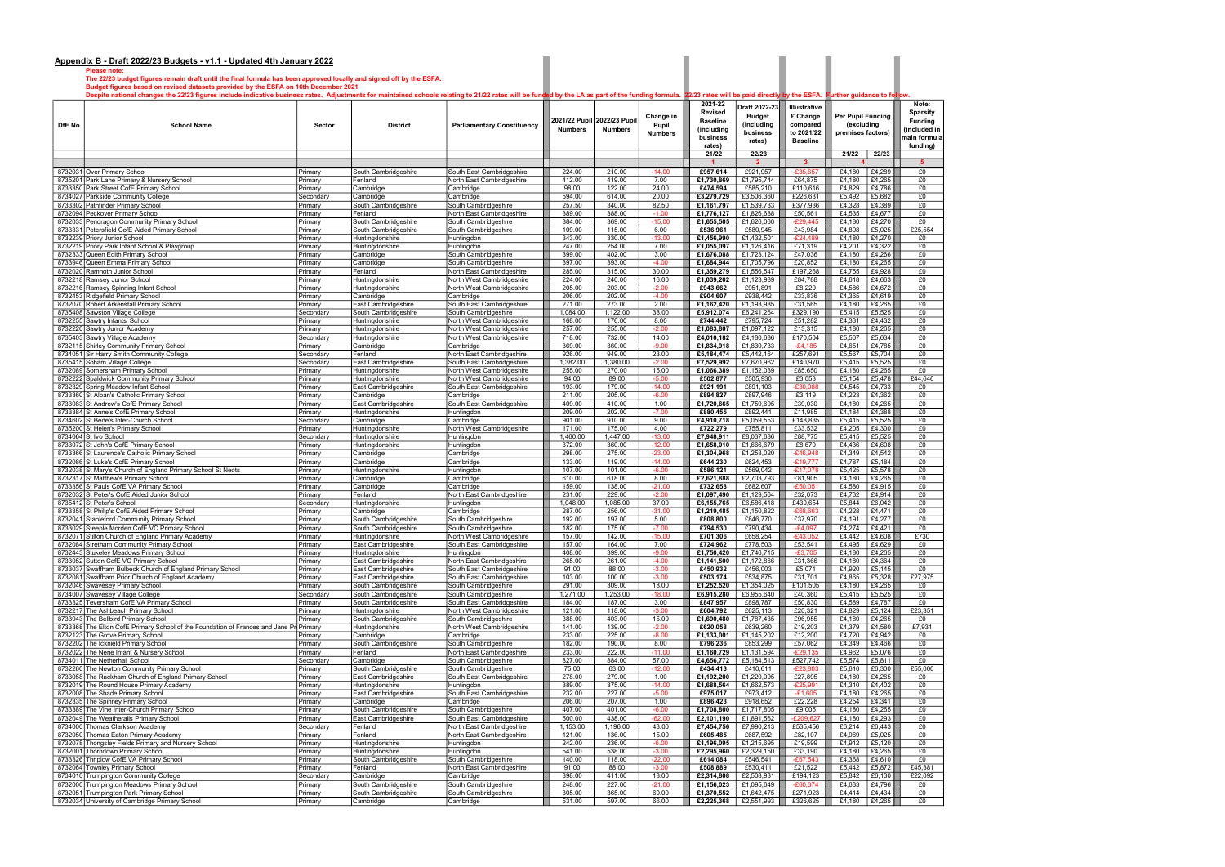Please note: The 22/23 budget figures remain draft until the final formula has been approved locally and signed off by the ESFA.

Budget figures based on revised datasets provided by the ESFA on 16th December 2021

Despite national changes the 22/23 figures include indicative business rates. Adjustments for maintained schools relating to 21/22 rates will be funded by the LA as part of the funding formula. 22/23 rates will be paid dir

| DfE No | <b>School Name</b>                                                                                  | Sector               | <b>District</b>                              | <b>Parliamentary Constituency</b>                      | Change in<br>2021/22 Pupil<br>2022/23 Pupi<br>Pupil<br><b>Numbers</b><br><b>Numbers</b><br><b>Numbers</b> |                    | 2021-22<br>Revised<br><b>Baseline</b><br>(including<br>business<br>rates) | Draft 2022-23<br><b>Budget</b><br>(including<br>business<br>rates) | Illustrative<br>£ Change<br>compared<br>to 2021/22<br><b>Baseline</b> | <b>Per Pupil Funding</b><br>(excluding<br>premises factors) |                  | Note:<br><b>Sparsity</b><br>Funding<br>included in<br>main formula<br>funding) |               |
|--------|-----------------------------------------------------------------------------------------------------|----------------------|----------------------------------------------|--------------------------------------------------------|-----------------------------------------------------------------------------------------------------------|--------------------|---------------------------------------------------------------------------|--------------------------------------------------------------------|-----------------------------------------------------------------------|-------------------------------------------------------------|------------------|--------------------------------------------------------------------------------|---------------|
|        |                                                                                                     |                      |                                              |                                                        |                                                                                                           |                    |                                                                           | 21/22                                                              | 22/23<br>$\overline{2}$                                               | -3                                                          | 21/22            | 22/23                                                                          | 5             |
|        | 8732031 Over Primary School                                                                         | Primary              | South Cambridgeshire                         | South East Cambridgeshire                              | 224.00                                                                                                    | 210.00             | $-14.00$                                                                  | £957,614                                                           | £921,957                                                              | $-£35.657$                                                  | £4,180           | £4,289                                                                         | £0            |
|        | 8735201 Park Lane Primary & Nursery School                                                          | Primary              | Fenland                                      | North East Cambridgeshire                              | 412.00                                                                                                    | 419.00             | 7.00                                                                      | £1,730,869                                                         | £1,795,744                                                            | £64,875                                                     | £4,180           | £4,265                                                                         | £0            |
|        | 8733350 Park Street CofE Primary School                                                             | Primary              | Cambridge                                    | Cambridge                                              | 98.00                                                                                                     | 122.00             | 24.00                                                                     | £474,594                                                           | £585,210                                                              | £110,616                                                    | £4,829           | £4,786                                                                         | £0            |
|        | 8734027 Parkside Community College                                                                  | Secondary            | Cambridge                                    | Cambridge                                              | 594.00                                                                                                    | 614.00             | 20.00                                                                     | £3,279,729                                                         | £3,506,360                                                            | £226,631                                                    | £5,492           | £5,682                                                                         | £0            |
|        | 8733302 Pathfinder Primary School                                                                   | Primary              | South Cambridgeshire                         | South Cambridgeshire                                   | 257.50                                                                                                    | 340.00             | 82.50                                                                     | £1,161,797                                                         | £1,539,733                                                            | £377,936                                                    | £4,328           | £4,389                                                                         | £0            |
|        | 8732094 Peckover Primary School                                                                     | Primary              | Fenland                                      | North East Cambridgeshire                              | 389.00                                                                                                    | 388.00             | $-1.00$                                                                   | £1,776,127                                                         | £1,826,688                                                            | £50,561                                                     | £4,535           | £4,677                                                                         | £0            |
|        | 8732033 Pendragon Community Primary School<br>8733331 Petersfield CofE Aided Primary School         | Primary<br>Primary   | South Cambridgeshire<br>South Cambridgeshire | South Cambridgeshire<br>South Cambridgeshire           | 384.00<br>109.00                                                                                          | 369.00<br>115.00   | $-15.00$<br>6.00                                                          | £1,655,505<br>£536,961                                             | £1,626,060<br>£580,945                                                | $-E29,445$<br>£43,984                                       | £4,180<br>£4,898 | £4,270<br>£5,025                                                               | £0<br>£25,554 |
|        | 8732239 Priory Junior School                                                                        | Primary              | Huntingdonshire                              | Huntingdon                                             | 343.00                                                                                                    | 330.00             | $-13.00$                                                                  | £1,456,990                                                         | £1,432,501                                                            | $-E24,489$                                                  | £4,180           | £4,270                                                                         | £0            |
|        | 8732219 Priory Park Infant School & Playgroup                                                       | Primary              | Huntingdonshire                              | Huntingdon                                             | 247.00                                                                                                    | 254.00             | 7.00                                                                      | £1,055,097                                                         | £1,126,416                                                            | £71,319                                                     | £4,201           | £4,322                                                                         | £0            |
|        | 8732333 Queen Edith Primary School                                                                  | Primary              | Cambridge                                    | South Cambridgeshire                                   | 399.00                                                                                                    | 402.00             | 3.00                                                                      | £1,676,088                                                         | £1,723,124                                                            | £47,036                                                     | £4,180           | £4,266                                                                         | £0            |
|        | 8733946 Queen Emma Primary School                                                                   | Primary              | Cambridge                                    | South Cambridgeshire                                   | 397.00                                                                                                    | 393.00             | $-4.00$                                                                   | £1,684,944                                                         | £1,705,796                                                            | £20,852                                                     | £4,180           | £4,265                                                                         | £0            |
|        | 8732020 Ramnoth Junior School<br>8732218 Ramsey Junior School                                       | Primary<br>Primary   | Fenland<br>Huntingdonshire                   | North East Cambridgeshire<br>North West Cambridgeshire | 285.00<br>224.00                                                                                          | 315.00<br>240.00   | 30.00<br>16.00                                                            | £1,359,279<br>£1,039,202                                           | £1,556,547<br>£1,123,989                                              | £197,268<br>£84,788                                         | £4,755<br>£4,618 | £4,928<br>£4,663                                                               | £0<br>£0      |
|        | 8732216 Ramsey Spinning Infant School                                                               | Primary              | Huntingdonshire                              | North West Cambridgeshire                              | 205.00                                                                                                    | 203.00             | $-2.00$                                                                   | £943,662                                                           | £951,891                                                              | £8,229                                                      | £4,586           | £4,672                                                                         | £0            |
|        | 8732453 Ridgefield Primary School                                                                   | Primary              | Cambridge                                    | Cambridge                                              | 206.00                                                                                                    | 202.00             | $-4.00$                                                                   | £904,607                                                           | £938,442                                                              | £33,836                                                     | £4,365           | £4,619                                                                         | £0            |
|        | 8732070 Robert Arkenstall Primary School                                                            | Primary              | East Cambridgeshire                          | South East Cambridgeshire                              | 271.00                                                                                                    | 273.00             | 2.00                                                                      | £1,162,420                                                         | £1,193,985                                                            | £31,565                                                     | £4,180           | £4,265                                                                         | £0            |
|        | 8735408 Sawston Village College                                                                     | Secondar             | South Cambridgeshire                         | South Cambridgeshire                                   | 1,084.00                                                                                                  | 1,122.00           | 38.00                                                                     | £5,912,074                                                         | £6,241,264                                                            | £329,190                                                    | £5,415           | £5,525                                                                         | £0            |
|        | 8732255 Sawtry Infants' School                                                                      | Primary              | Huntingdonshire                              | North West Cambridgeshire                              | 168.00                                                                                                    | 176.00             | 8.00                                                                      | £744,442                                                           | £795,724                                                              | £51,282                                                     | £4,331           | £4,432                                                                         | £0            |
|        | 8732220 Sawtry Junior Academy<br>8735403 Sawtry Village Academy                                     | Primary<br>Secondary | Huntingdonshire<br>Huntingdonshire           | North West Cambridgeshire<br>North West Cambridgeshire | 257.00<br>718.00                                                                                          | 255.00<br>732.00   | $-2.00$<br>14.00                                                          | £1,083,807<br>£4,010,182                                           | £1,097,122<br>£4,180,686                                              | £13,315<br>£170,504                                         | £4,180<br>£5,507 | £4,265<br>£5,634                                                               | £0<br>£0      |
|        | 8732115 Shirley Community Primary School                                                            | Primary              | Cambridge                                    | Cambridge                                              | 369.00                                                                                                    | 360.00             | $-9.00$                                                                   | £1,834,918                                                         | £1,830,733                                                            | $-E4,185$                                                   | £4,651           | £4,785                                                                         | £0            |
|        | 8734051 Sir Harry Smith Community College                                                           | Secondary            | Fenland                                      | North East Cambridgeshire                              | 926.00                                                                                                    | 949.00             | 23.00                                                                     | £5,184,474                                                         | £5,442,164                                                            | £257,691                                                    | £5,567           | £5,704                                                                         | £0            |
|        | 8735415 Soham Village College                                                                       | Secondary            | East Cambridgeshire                          | South East Cambridgeshire                              | 1,382.00                                                                                                  | 1,380.00           | $-2.00$                                                                   | £7,529,992                                                         | £7,670,962                                                            | £140,970                                                    | £5,415           | £5,525                                                                         | £0            |
|        | 8732089 Somersham Primary School                                                                    | Primary              | Huntingdonshire                              | North West Cambridgeshire                              | 255.00                                                                                                    | 270.00             | 15.00                                                                     | £1,066,389                                                         | £1,152,039                                                            | £85,650                                                     | £4,180           | £4,265                                                                         | £0            |
|        | 8732222 Spaldwick Community Primary School                                                          | Primary              | Huntingdonshire                              | North West Cambridgeshire                              | 94.00                                                                                                     | 89.00              | $-5.00$                                                                   | £502,877                                                           | £505,930                                                              | £3,053                                                      | £5,154           | £5,478                                                                         | £44,646       |
|        | 8732329 Spring Meadow Infant School<br>8733360 St Alban's Catholic Primary School                   | Primary<br>Primary   | East Cambridgeshire<br>Cambridge             | South East Cambridgeshire<br>Cambridge                 | 193.00<br>211.00                                                                                          | 179.00<br>205.00   | $-14.00$<br>$-6.00$                                                       | £921,191<br>£894,827                                               | £891,103<br>£897,946                                                  | £30.08<br>£3,119                                            | £4,545<br>£4,223 | £4,733<br>£4,362                                                               | £0<br>£0      |
|        | 8733083 St Andrew's CofE Primary School                                                             | Primary              | East Cambridgeshire                          | South East Cambridgeshire                              | 409.00                                                                                                    | 410.00             | 1.00                                                                      | £1,720,665                                                         | £1,759,695                                                            | £39,030                                                     | £4,180           | £4,265                                                                         | £0            |
|        | 8733384 St Anne's CofE Primary School                                                               | Primary              | Huntingdonshire                              | Huntingdon                                             | 209.00                                                                                                    | 202.00             | $-7.00$                                                                   | £880,455                                                           | £892,441                                                              | £11,985                                                     | £4,184           | £4,388                                                                         | £0            |
|        | 8734602 St Bede's Inter-Church School                                                               | Secondar             | Cambridge                                    | Cambridge                                              | 901.00                                                                                                    | 910.00             | 9.00                                                                      | £4,910,718                                                         | £5,059,553                                                            | £148,835                                                    | £5,415           | £5,525                                                                         | £0            |
|        | 8735200 St Helen's Primary School                                                                   | Primary              | Huntingdonshire                              | North West Cambridgeshire                              | 171.00                                                                                                    | 175.00             | 4.00                                                                      | £722,279                                                           | £755,811                                                              | £33,532                                                     | £4,205           | £4,300                                                                         | £0            |
|        | 8734064 St Ivo School                                                                               | Secondary            | Huntingdonshire                              | Huntingdon                                             | 1,460.00                                                                                                  | 1,447.00           | $-13.00$                                                                  | £7,948,911                                                         | £8,037,686                                                            | £88,775                                                     | £5,415           | £5,525                                                                         | £0            |
|        | 8733072 St John's CofE Primary School<br>8733366 St Laurence's Catholic Primary School              | Primary<br>Primary   | Huntingdonshire<br>Cambridge                 | Huntingdon<br>Cambridge                                | 372.00<br>298.00                                                                                          | 360.00<br>275.00   | $-12.00$<br>$-23.00$                                                      | £1,658,010<br>£1,304,968                                           | £1,666,679<br>£1,258,020                                              | £8,670<br>$-E46,948$                                        | £4,436<br>£4,349 | £4,608<br>£4,542                                                               | £0<br>£0      |
|        | 8732086 St Luke's CofE Primary School                                                               | Primary              | Cambridge                                    | Cambridge                                              | 133.00                                                                                                    | 119.00             | $-14.00$                                                                  | £644,230                                                           | £624,453                                                              | $-£19,777$                                                  | £4,787           | £5,184                                                                         | £0            |
|        | 8732038 St Mary's Church of England Primary School St Neots                                         | Primary              | Huntingdonshire                              | Huntingdon                                             | 107.00                                                                                                    | 101.00             | $-6.00$                                                                   | £586,121                                                           | £569,042                                                              | $-£17,078$                                                  | £5,425           | £5,578                                                                         | £0            |
|        | 8732317 St Matthew's Primary School                                                                 | Primary              | Cambridge                                    | Cambridge                                              | 610.00                                                                                                    | 618.00             | 8.00                                                                      | £2,621,888                                                         | £2,703,793                                                            | £81,905                                                     | £4,180           | £4,265                                                                         | £0            |
|        | 8733356 St Pauls CofE VA Primary School                                                             | Primary              | Cambridge                                    | Cambridge                                              | 159.00                                                                                                    | 138.00             | $-21.00$                                                                  | £732,658                                                           | £682,607                                                              | £50,05                                                      | £4,580           | £4,915                                                                         | £0            |
|        | 8732032 St Peter's CofE Aided Junior School                                                         | Primary              | Fenland                                      | North East Cambridgeshire                              | 231.00                                                                                                    | 229.00             | $-2.00$                                                                   | £1,097,490                                                         | £1,129,564                                                            | £32,073                                                     | £4,732           | £4,914                                                                         | £0            |
|        | 8735412 St Peter's School<br>8733358 St Philip's CofE Aided Primary School                          | Secondary<br>Primary | Huntingdonshire<br>Cambridge                 | Huntingdon<br>Cambridge                                | 1,048.00<br>287.00                                                                                        | 1,085.00<br>256.00 | 37.00<br>$-31.00$                                                         | £6,155,765<br>£1,219,485                                           | £6,586,418<br>£1,150,822                                              | £430,654<br>$-£68,663$                                      | £5,844<br>£4,228 | £6,042<br>£4,471                                                               | £0<br>£0      |
|        | 8732041 Stapleford Community Primary School                                                         | Primary              | South Cambridgeshire                         | South Cambridgeshire                                   | 192.00                                                                                                    | 197.00             | 5.00                                                                      | £808,800                                                           | £846,770                                                              | £37,970                                                     | £4,191           | £4,277                                                                         | £0            |
|        | 8733029 Steeple Morden CofE VC Primary School                                                       | Primary              | South Cambridgeshire                         | South Cambridgeshire                                   | 182.00                                                                                                    | 175.00             | $-7.00$                                                                   | £794,530                                                           | £790,434                                                              | $-E4,097$                                                   | £4,274           | £4,421                                                                         | £0            |
|        | 8732071 Stilton Church of England Primary Academy                                                   | Primary              | Huntingdonshire                              | North West Cambridgeshire                              | 157.00                                                                                                    | 142.00             | $-15.00$                                                                  | £701,306                                                           | £658,254                                                              | $-£43,052$                                                  | £4,442           | £4,608                                                                         | £730          |
|        | 8732084 Stretham Community Primary School                                                           | Primary              | East Cambridgeshire                          | South East Cambridgeshire                              | 157.00                                                                                                    | 164.00             | 7.00                                                                      | £724,962                                                           | £778,503                                                              | £53,541                                                     | £4,495           | £4,629                                                                         | £0            |
|        | 8732443 Stukeley Meadows Primary School                                                             | Primary              | Huntingdonshire                              | Huntingdon                                             | 408.00                                                                                                    | 399.00             | $-9.00$                                                                   | £1,750,420                                                         | £1,746,715                                                            | $-£3,705$                                                   | £4,180           | £4,265                                                                         | £0            |
|        | 8733052 Sutton CofE VC Primary School<br>8733037 Swaffham Bulbeck Church of England Primary School  | Primary<br>Primary   | East Cambridgeshire<br>East Cambridgeshire   | North East Cambridgeshire<br>South East Cambridgeshire | 265.00<br>91.00                                                                                           | 261.00<br>88.00    | 4.OU<br>$-3.00$                                                           | £1,141,500<br>£450,932                                             | $£1, 1/2, 866$    <br>£456,003                                        | £31,366<br>£5,071                                           | £4,180<br>£4,920 | £4,364<br>£5,145                                                               | £υ<br>£0      |
|        | 8732081 Swaffham Prior Church of England Academy                                                    | Primary              | East Cambridgeshire                          | South East Cambridgeshire                              | 103.00                                                                                                    | 100.00             | $-3.00$                                                                   | £503,174                                                           | £534,875                                                              | £31,701                                                     | £4,865           | £5,328                                                                         | £27,975       |
|        | 8732046 Swavesey Primary School                                                                     | Primary              | South Cambridgeshire                         | South Cambridgeshire                                   | 291.00                                                                                                    | 309.00             | 18.00                                                                     | £1,252,520                                                         | £1,354,025                                                            | £101,505                                                    | £4,180           | £4,265                                                                         | £0            |
|        | 8734007 Swavesey Village College                                                                    | Secondary            | South Cambridgeshire                         | South Cambridgeshire                                   | 1,271.00                                                                                                  | 1,253.00           | $-18.00$                                                                  | £6,915,280                                                         | £6,955,640                                                            | £40,360                                                     | £5,415           | £5,525                                                                         | £0            |
|        | 8733325 Teversham CofE VA Primary School                                                            | Primary              | South Cambridgeshire                         | South East Cambridgeshire                              | 184.00                                                                                                    | 187.00             | 3.00                                                                      | £847,957                                                           | £898,787                                                              | £50,830                                                     | £4,589           | £4,787                                                                         | £0            |
|        | 8732217 The Ashbeach Primary School<br>8733943 The Bellbird Primary School                          | Primary<br>Primary   | Huntingdonshire<br>South Cambridgeshire      | North West Cambridgeshire<br>South Cambridgeshire      | 121.00<br>388.00                                                                                          | 118.00<br>403.00   | $-3.00$<br>15.00                                                          | £604,792<br>£1,690,480                                             | £625,113<br>£1,787,435                                                | £20,321<br>£96,955                                          | £4,829<br>£4,180 | £5,124<br>£4,265                                                               | £23,351<br>£0 |
|        | 8733368 The Elton CofE Primary School of the Foundation of Frances and Jane Pre Primary             |                      | Huntingdonshire                              | North West Cambridgeshire                              | 141.00                                                                                                    | 139.00             | $-2.00$                                                                   | £620,058                                                           | £639,260                                                              | £19,203                                                     | £4,379           | £4,580                                                                         | £7,931        |
|        | 8732123 The Grove Primary School                                                                    | Primary              | Cambridge                                    | Cambridge                                              | 233.00                                                                                                    | 225.00             | $-8.00$                                                                   | £1,133,001                                                         | £1,145,202                                                            | £12,200                                                     | £4,720           | £4,942                                                                         | £0            |
|        | 8732202 The Icknield Primary School                                                                 | Primary              | South Cambridgeshire                         | South Cambridgeshire                                   | 182.00                                                                                                    | 190.00             | 8.00                                                                      | £796,236                                                           | £853,299                                                              | £57,062                                                     | £4,349           | £4,466                                                                         | £0            |
|        | 8732022 The Nene Infant & Nursery School                                                            | Primary              | Fenland                                      | North East Cambridgeshire                              | 233.00                                                                                                    | 222.00             | $-11.00$                                                                  | £1,160,729                                                         | £1,131,594                                                            | $-E29,135$                                                  | £4,962           | £5,076                                                                         | £0            |
|        | 8734011 The Netherhall School                                                                       | Secondary            | Cambridge                                    | South Cambridgeshire                                   | 827.00                                                                                                    | 884.00             | 57.00                                                                     | £4,656,772                                                         | £5,184,513                                                            | £527,742                                                    | £5,574           | £5,811                                                                         | £0            |
|        | 8732260 The Newton Community Primary School<br>8733058 The Rackham Church of England Primary School | Primary<br>Primary   | South Cambridgeshire<br>East Cambridgeshire  | South Cambridgeshire<br>South East Cambridgeshire      | 75.00<br>278.00                                                                                           | 63.00<br>279.00    | $-12.00$<br>1.00                                                          | £434,413<br>£1,192,200                                             | £410,611<br>£1,220,095                                                | $-E23,803$<br>£27,895                                       | £5,610<br>£4,180 | £6,300<br>£4,265                                                               | £55,000<br>£0 |
|        | 8732019 The Round House Primary Academy                                                             | Primary              | Huntingdonshire                              | Huntingdon                                             | 389.00                                                                                                    | 375.00             | $-14.00$                                                                  | £1,688,564                                                         | £1,662,573                                                            | $-E25,991$                                                  | £4,310           | £4,402                                                                         | £0            |
|        | 8732008 The Shade Primary School                                                                    | Primary              | East Cambridgeshire                          | South East Cambridgeshire                              | 232.00                                                                                                    | 227.00             | $-5.00$                                                                   | £975,017                                                           | £973,412                                                              | $-£1,605$                                                   | £4,180           | £4,265                                                                         | £0            |
|        | 8732335 The Spinney Primary School                                                                  | Primary              | Cambridge                                    | Cambridge                                              | 206.00                                                                                                    | 207.00             | 1.00                                                                      | £896,423                                                           | £918,652                                                              | £22,228                                                     | £4,254           | £4,341                                                                         | £0            |
|        | 8733389 The Vine Inter-Church Primary School                                                        | Primary              | South Cambridgeshire                         | South Cambridgeshire                                   | 407.00                                                                                                    | 401.00             | $-6.00$                                                                   | £1,708,800                                                         | £1,717,805                                                            | £9,005                                                      | £4,180           | £4,265                                                                         | £0            |
|        | 8732049 The Weatheralls Primary School                                                              | Primary              | East Cambridgeshire                          | South East Cambridgeshire                              | 500.00                                                                                                    | 438.00             | $-62.00$                                                                  | £2,101,190                                                         | £1,891,562                                                            | $-E209,627$                                                 | £4,180           | £4,293                                                                         | £0            |
|        | 8734000 Thomas Clarkson Academy                                                                     | Secondary            | Fenland                                      | North East Cambridgeshire                              | 1,153.00                                                                                                  | 1,196.00           | 43.00                                                                     | £7,454,756                                                         | £7,990,213                                                            | £535,456                                                    | £6,214           | £6,443                                                                         | £0            |
|        | 8732050 Thomas Eaton Primary Academy<br>8732078 Thongsley Fields Primary and Nursery School         | Primary<br>Primary   | Fenland<br>Huntingdonshire                   | North East Cambridgeshire<br>Huntingdon                | 121.00<br>242.00                                                                                          | 136.00<br>236.00   | 15.00<br>$-6.00$                                                          | £605,485<br>£1,196,095                                             | £687,592<br>£1,215,695                                                | £82,107<br>£19,599                                          | £4,969<br>£4,912 | £5,025<br>£5,120                                                               | £0<br>£0      |
|        | 8732001 Thorndown Primary School                                                                    | Primary              | Huntingdonshire                              | Huntingdon                                             | 541.00                                                                                                    | 538.00             | $-3.00$                                                                   | £2,295,960                                                         | £2,329,150                                                            | £33,190                                                     | £4,180           | £4,265                                                                         | £0            |
|        | 8733326 Thriplow CofE VA Primary School                                                             | Primary              | South Cambridgeshire                         | South Cambridgeshire                                   | 140.00                                                                                                    | 118.00             | $-22.00$                                                                  | £614,084                                                           | £546,541                                                              | $-£67,543$                                                  | £4,368           | £4,610                                                                         | £0            |
|        | 8732064 Townley Primary School                                                                      | Primary              | Fenland                                      | North East Cambridgeshire                              | 91.00                                                                                                     | 88.00              | $-3.00$                                                                   | £508,889                                                           | £530,411                                                              | £21,522                                                     | £5,442           | £5,872                                                                         | £45,381       |
|        | 8734010 Trumpington Community College                                                               | Secondary            | Cambridge                                    | Cambridge                                              | 398.00                                                                                                    | 411.00             | 13.00                                                                     | £2,314,808                                                         | £2,508,931                                                            | £194,123                                                    | £5,842           | £6,130                                                                         | £22,092       |
|        | 8732000 Trumpington Meadows Primary School<br>8732051 Trumpington Park Primary School               | Primary              | South Cambridgeshire<br>South Cambridgeshire | South Cambridgeshire<br>South Cambridgeshire           | 248.00<br>305.00                                                                                          | 227.00<br>365.00   | $-21.00$<br>60.00                                                         | £1,156,023<br>£1,370,552                                           | £1,095,649<br>£1,642,475   £271,923                                   | -£60,374                                                    | £4,633<br>£4,414 | £4,796<br>£4,434                                                               | £0<br>£0      |
|        | 8732034 University of Cambridge Primary School                                                      | Primary<br>Primary   | Cambridge                                    | Cambridge                                              | 531.00                                                                                                    | 597.00             | 66.00                                                                     | £2,225,368                                                         | £2,551,993   £326,625                                                 |                                                             | £4,180           | £4,265                                                                         | £0            |